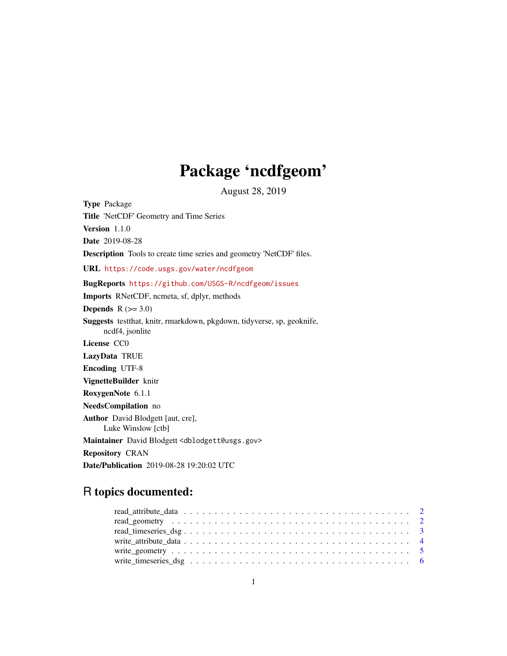## Package 'ncdfgeom'

August 28, 2019

Type Package Title 'NetCDF' Geometry and Time Series Version 1.1.0 Date 2019-08-28 Description Tools to create time series and geometry 'NetCDF' files. URL <https://code.usgs.gov/water/ncdfgeom> BugReports <https://github.com/USGS-R/ncdfgeom/issues> Imports RNetCDF, ncmeta, sf, dplyr, methods Depends  $R$  ( $>= 3.0$ ) Suggests testthat, knitr, rmarkdown, pkgdown, tidyverse, sp, geoknife, ncdf4, jsonlite License CC0 LazyData TRUE Encoding UTF-8 VignetteBuilder knitr RoxygenNote 6.1.1 NeedsCompilation no Author David Blodgett [aut, cre], Luke Winslow [ctb] Maintainer David Blodgett <dblodgett@usgs.gov> Repository CRAN Date/Publication 2019-08-28 19:20:02 UTC

### R topics documented: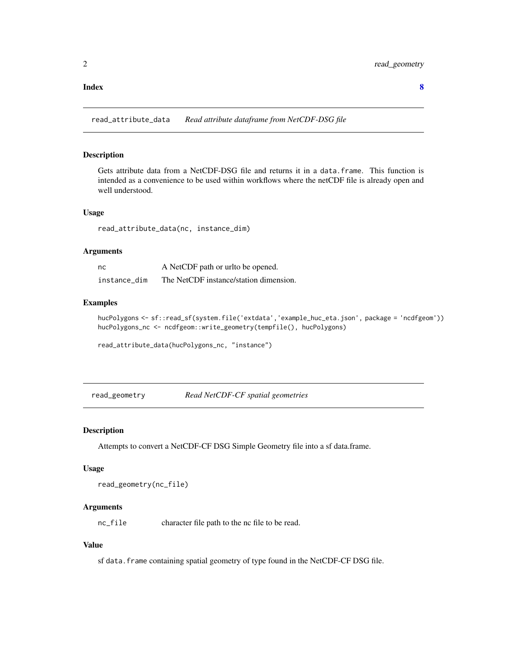#### <span id="page-1-0"></span>**Index** [8](#page-7-0) **8**

read\_attribute\_data *Read attribute dataframe from NetCDF-DSG file*

#### Description

Gets attribute data from a NetCDF-DSG file and returns it in a data.frame. This function is intended as a convenience to be used within workflows where the netCDF file is already open and well understood.

#### Usage

read\_attribute\_data(nc, instance\_dim)

#### Arguments

| nc           | A NetCDF path or urlto be opened.      |
|--------------|----------------------------------------|
| instance dim | The NetCDF instance/station dimension. |

#### Examples

```
hucPolygons <- sf::read_sf(system.file('extdata','example_huc_eta.json', package = 'ncdfgeom'))
hucPolygons_nc <- ncdfgeom::write_geometry(tempfile(), hucPolygons)
```
read\_attribute\_data(hucPolygons\_nc, "instance")

read\_geometry *Read NetCDF-CF spatial geometries*

#### Description

Attempts to convert a NetCDF-CF DSG Simple Geometry file into a sf data.frame.

#### Usage

```
read_geometry(nc_file)
```
#### **Arguments**

nc\_file character file path to the nc file to be read.

#### Value

sf data. frame containing spatial geometry of type found in the NetCDF-CF DSG file.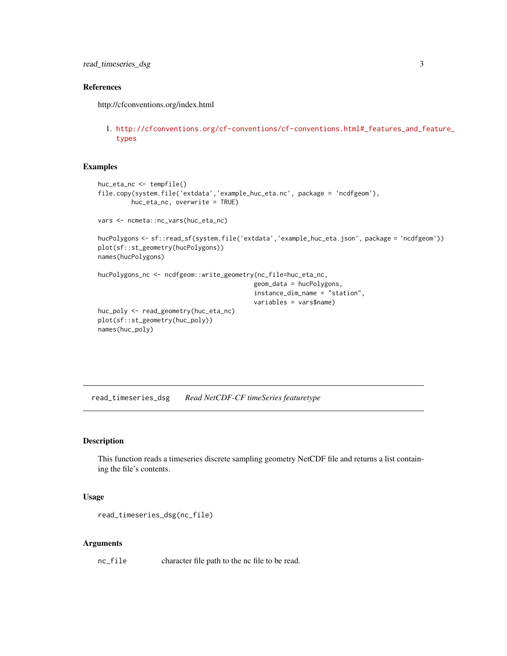#### <span id="page-2-0"></span>References

http://cfconventions.org/index.html

1. [http://cfconventions.org/cf-conventions/cf-conventions.html#\\_features\\_and\\_f](http://cfconventions.org/cf-conventions/cf-conventions.html#_features_and_feature_types)eature\_ [types](http://cfconventions.org/cf-conventions/cf-conventions.html#_features_and_feature_types)

#### Examples

```
huc_eta_nc <- tempfile()
file.copy(system.file('extdata','example_huc_eta.nc', package = 'ncdfgeom'),
         huc_eta_nc, overwrite = TRUE)
vars <- ncmeta::nc_vars(huc_eta_nc)
hucPolygons <- sf::read_sf(system.file('extdata','example_huc_eta.json', package = 'ncdfgeom'))
plot(sf::st_geometry(hucPolygons))
names(hucPolygons)
hucPolygons_nc <- ncdfgeom::write_geometry(nc_file=huc_eta_nc,
                                          geom_data = hucPolygons,
                                          instance_dim_name = "station",
                                          variables = vars$name)
huc_poly <- read_geometry(huc_eta_nc)
plot(sf::st_geometry(huc_poly))
names(huc_poly)
```
read\_timeseries\_dsg *Read NetCDF-CF timeSeries featuretype*

#### Description

This function reads a timeseries discrete sampling geometry NetCDF file and returns a list containing the file's contents.

#### Usage

```
read_timeseries_dsg(nc_file)
```
#### Arguments

nc\_file character file path to the nc file to be read.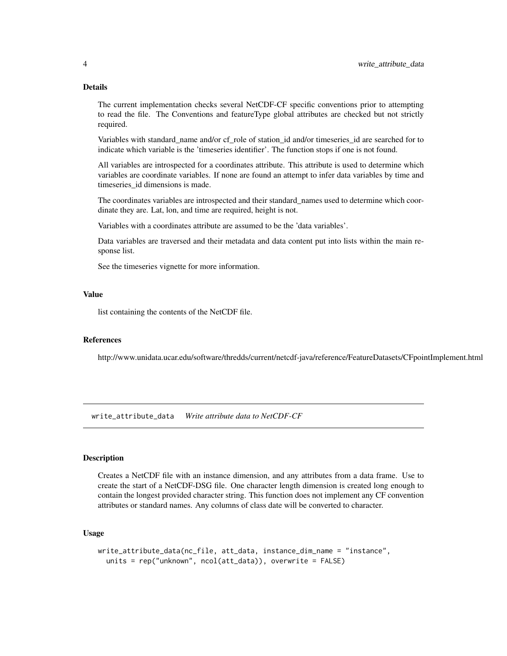#### <span id="page-3-0"></span>Details

The current implementation checks several NetCDF-CF specific conventions prior to attempting to read the file. The Conventions and featureType global attributes are checked but not strictly required.

Variables with standard\_name and/or cf\_role of station\_id and/or timeseries\_id are searched for to indicate which variable is the 'timeseries identifier'. The function stops if one is not found.

All variables are introspected for a coordinates attribute. This attribute is used to determine which variables are coordinate variables. If none are found an attempt to infer data variables by time and timeseries id dimensions is made.

The coordinates variables are introspected and their standard\_names used to determine which coordinate they are. Lat, lon, and time are required, height is not.

Variables with a coordinates attribute are assumed to be the 'data variables'.

Data variables are traversed and their metadata and data content put into lists within the main response list.

See the timeseries vignette for more information.

#### Value

list containing the contents of the NetCDF file.

#### References

http://www.unidata.ucar.edu/software/thredds/current/netcdf-java/reference/FeatureDatasets/CFpointImplement.html

write\_attribute\_data *Write attribute data to NetCDF-CF*

#### Description

Creates a NetCDF file with an instance dimension, and any attributes from a data frame. Use to create the start of a NetCDF-DSG file. One character length dimension is created long enough to contain the longest provided character string. This function does not implement any CF convention attributes or standard names. Any columns of class date will be converted to character.

#### Usage

```
write_attribute_data(nc_file, att_data, instance_dim_name = "instance",
  units = rep("unknown", ncol(att_data)), overwrite = FALSE)
```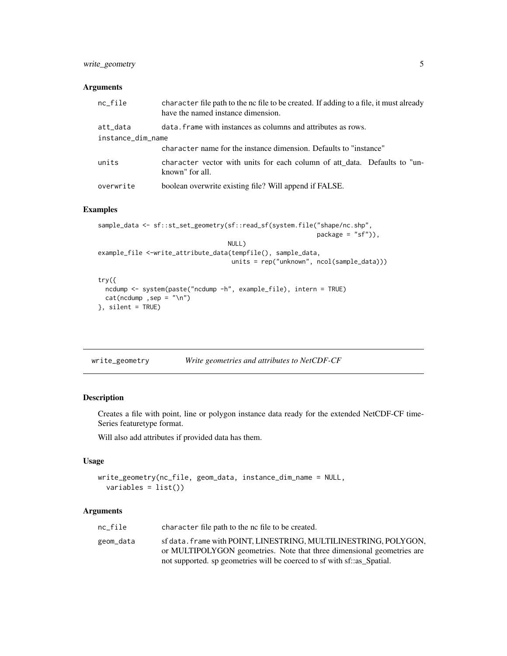#### <span id="page-4-0"></span>write\_geometry 5

#### Arguments

| $nc$ -file        | character file path to the nc file to be created. If adding to a file, it must already<br>have the named instance dimension. |
|-------------------|------------------------------------------------------------------------------------------------------------------------------|
| att_data          | data, frame with instances as columns and attributes as rows.                                                                |
| instance_dim_name |                                                                                                                              |
|                   | character name for the instance dimension. Defaults to "instance"                                                            |
| units             | character vector with units for each column of att data. Defaults to "un-<br>known" for all.                                 |
| overwrite         | boolean overwrite existing file? Will append if FALSE.                                                                       |

#### Examples

```
sample_data <- sf::st_set_geometry(sf::read_sf(system.file("shape/nc.shp",
                                                           package = "sf"),
                                   NULL)
example_file <-write_attribute_data(tempfile(), sample_data,
                                    units = rep("unknown", ncol(sample_data)))
try({
  ncdump <- system(paste("ncdump -h", example_file), intern = TRUE)
 cat(ncdump, sep = "\\n")}, silent = TRUE)
```

| write_geometry | Write geometries and attributes to NetCDF-CF |
|----------------|----------------------------------------------|
|                |                                              |

#### Description

Creates a file with point, line or polygon instance data ready for the extended NetCDF-CF time-Series featuretype format.

Will also add attributes if provided data has them.

#### Usage

```
write_geometry(nc_file, geom_data, instance_dim_name = NULL,
 variables = list())
```
#### Arguments

| nc file   | character file path to the nc file to be created.                                                                                                                                                                     |
|-----------|-----------------------------------------------------------------------------------------------------------------------------------------------------------------------------------------------------------------------|
| geom_data | sf data. frame with POINT, LINESTRING, MULTILINESTRING, POLYGON,<br>or MULTIPOLYGON geometries. Note that three dimensional geometries are<br>not supported, sp geometries will be coerced to sf with sf: as Spatial. |
|           |                                                                                                                                                                                                                       |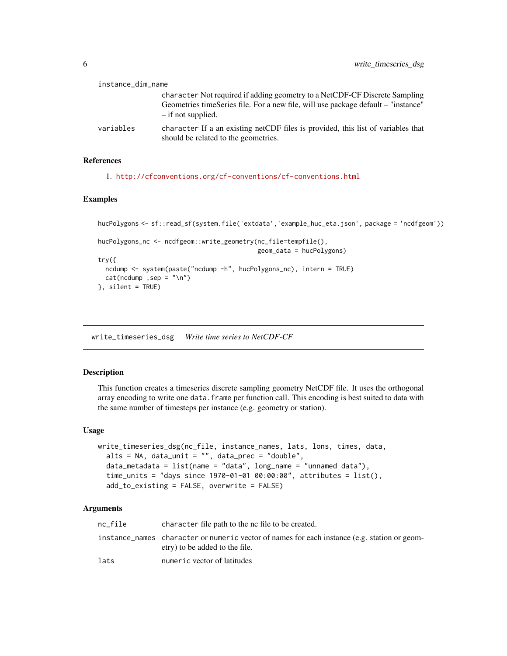<span id="page-5-0"></span>

| instance_dim_name |                                                                                                                                                                 |  |
|-------------------|-----------------------------------------------------------------------------------------------------------------------------------------------------------------|--|
|                   | character Not required if adding geometry to a NetCDF-CF Discrete Sampling<br>Geometries timeSeries file. For a new file, will use package default – "instance" |  |
|                   | $-$ if not supplied.                                                                                                                                            |  |
| variables         | character If a an existing netCDF files is provided, this list of variables that<br>should be related to the geometries.                                        |  |

#### References

```
1. http://cfconventions.org/cf-conventions/cf-conventions.html
```
#### Examples

```
hucPolygons <- sf::read_sf(system.file('extdata','example_huc_eta.json', package = 'ncdfgeom'))
hucPolygons_nc <- ncdfgeom::write_geometry(nc_file=tempfile(),
                                           geom_data = hucPolygons)
try({
 ncdump <- system(paste("ncdump -h", hucPolygons_nc), intern = TRUE)
 cat(ncdump,sep = "\\n")}, silent = TRUE)
```
write\_timeseries\_dsg *Write time series to NetCDF-CF*

#### Description

This function creates a timeseries discrete sampling geometry NetCDF file. It uses the orthogonal array encoding to write one data. frame per function call. This encoding is best suited to data with the same number of timesteps per instance (e.g. geometry or station).

#### Usage

```
write_timeseries_dsg(nc_file, instance_names, lats, lons, times, data,
  alts = NA, data_unit = ", data_prec = "double",
  data_metadata = list(name = "data", long_name = "unnamed data"),
  time_units = "days since 1970-01-01 00:00:00", attributes = list(),
  add_to_existing = FALSE, overwrite = FALSE)
```
#### Arguments

| nc file | character file path to the nc file to be created.                                                                              |
|---------|--------------------------------------------------------------------------------------------------------------------------------|
|         | instance_names character or numeric vector of names for each instance (e.g. station or geom-<br>etry) to be added to the file. |
| lats    | numeric vector of latitudes                                                                                                    |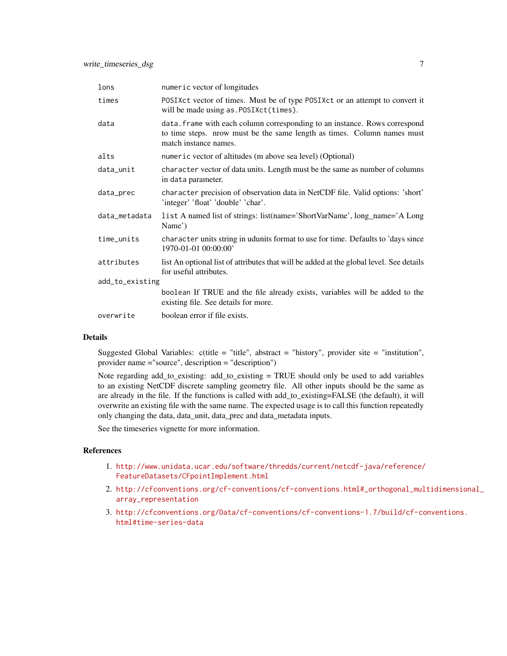| lons            | numeric vector of longitudes                                                                                                                                                   |
|-----------------|--------------------------------------------------------------------------------------------------------------------------------------------------------------------------------|
| times           | POSIXct vector of times. Must be of type POSIXct or an attempt to convert it<br>will be made using as . POSIXct(times).                                                        |
| data            | data. frame with each column corresponding to an instance. Rows correspond<br>to time steps. nrow must be the same length as times. Column names must<br>match instance names. |
| alts            | numeric vector of altitudes (m above sea level) (Optional)                                                                                                                     |
| data_unit       | character vector of data units. Length must be the same as number of columns<br>in data parameter.                                                                             |
| data_prec       | character precision of observation data in NetCDF file. Valid options: 'short'<br>'integer' 'float' 'double' 'char'.                                                           |
| data_metadata   | list A named list of strings: list(name='ShortVarName', long_name='A Long<br>Name')                                                                                            |
| time_units      | character units string in udunits format to use for time. Defaults to 'days since<br>1970-01-01 00:00:00'                                                                      |
| attributes      | list An optional list of attributes that will be added at the global level. See details<br>for useful attributes.                                                              |
| add_to_existing |                                                                                                                                                                                |
|                 | boolean If TRUE and the file already exists, variables will be added to the<br>existing file. See details for more.                                                            |
| overwrite       | boolean error if file exists.                                                                                                                                                  |

#### Details

Suggested Global Variables:  $c$ (title = "title", abstract = "history", provider site = "institution", provider name ="source", description = "description")

Note regarding add\_to\_existing: add\_to\_existing = TRUE should only be used to add variables to an existing NetCDF discrete sampling geometry file. All other inputs should be the same as are already in the file. If the functions is called with add\_to\_existing=FALSE (the default), it will overwrite an existing file with the same name. The expected usage is to call this function repeatedly only changing the data, data\_unit, data\_prec and data\_metadata inputs.

See the timeseries vignette for more information.

#### References

- 1. [http://www.unidata.ucar.edu/software/thredds/current/netcdf-java/reference/](http://www.unidata.ucar.edu/software/thredds/current/netcdf-java/reference/FeatureDatasets/CFpointImplement.html) [FeatureDatasets/CFpointImplement.html](http://www.unidata.ucar.edu/software/thredds/current/netcdf-java/reference/FeatureDatasets/CFpointImplement.html)
- 2. [http://cfconventions.org/cf-conventions/cf-conventions.html#\\_orthogonal\\_mul](http://cfconventions.org/cf-conventions/cf-conventions.html#_orthogonal_multidimensional_array_representation)tidimensional\_ [array\\_representation](http://cfconventions.org/cf-conventions/cf-conventions.html#_orthogonal_multidimensional_array_representation)
- 3. [http://cfconventions.org/Data/cf-conventions/cf-conventions-1.7/build/cf-co](http://cfconventions.org/Data/cf-conventions/cf-conventions-1.7/build/cf-conventions.html#time-series-data)nventions. [html#time-series-data](http://cfconventions.org/Data/cf-conventions/cf-conventions-1.7/build/cf-conventions.html#time-series-data)